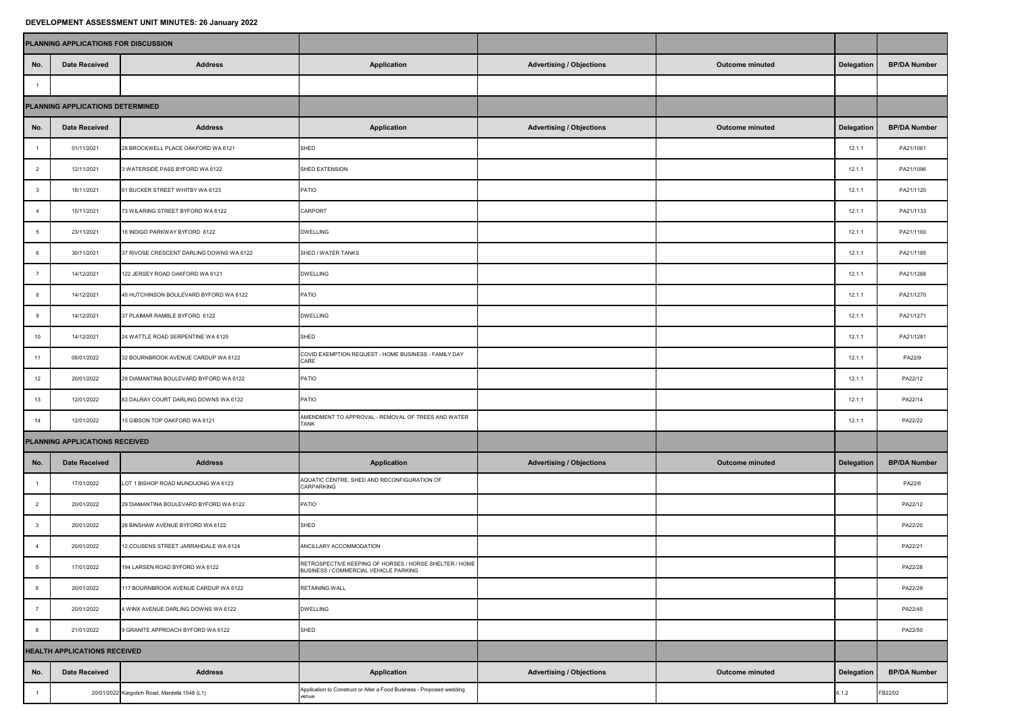## **DEVELOPMENT ASSESSMENT UNIT MINUTES: 26 January 2022**

| PLANNING APPLICATIONS FOR DISCUSSION |                      |                                               |                                                                                                        |                                 |                        |            |                     |
|--------------------------------------|----------------------|-----------------------------------------------|--------------------------------------------------------------------------------------------------------|---------------------------------|------------------------|------------|---------------------|
| No.                                  | <b>Date Received</b> | <b>Address</b>                                | <b>Application</b>                                                                                     | <b>Advertising / Objections</b> | Outcome minuted        | Delegation | <b>BP/DA Number</b> |
| $\overline{1}$                       |                      |                                               |                                                                                                        |                                 |                        |            |                     |
| PLANNING APPLICATIONS DETERMINED     |                      |                                               |                                                                                                        |                                 |                        |            |                     |
| No.                                  | <b>Date Received</b> | <b>Address</b>                                | <b>Application</b>                                                                                     | <b>Advertising / Objections</b> | <b>Outcome minuted</b> | Delegation | <b>BP/DA Number</b> |
| $\overline{1}$                       | 01/11/2021           | 28 BROCKWELL PLACE OAKFORD WA 6121            | SHED                                                                                                   |                                 |                        | 12.1.1     | PA21/1061           |
| $\overline{2}$                       | 12/11/2021           | 3 WATERSIDE PASS BYFORD WA 6122               | SHED EXTENSION                                                                                         |                                 |                        | 12.1.1     | PA21/1096           |
| $\mathbf{3}$                         | 16/11/2021           | 61 BUCKER STREET WHITBY WA 6123               | PATIO                                                                                                  |                                 |                        | 12.1.1     | PA21/1120           |
| $\overline{4}$                       | 15/11/2021           | 73 WILARING STREET BYFORD WA 6122             | CARPORT                                                                                                |                                 |                        | 12.1.1     | PA21/1133           |
| $5\phantom{.0}$                      | 23/11/2021           | 16 INDIGO PARKWAY BYFORD 6122                 | <b>DWELLING</b>                                                                                        |                                 |                        | 12.1.1     | PA21/1160           |
| 6                                    | 30/11/2021           | 37 RIVOSE CRESCENT DARLING DOWNS WA 6122      | SHED / WATER TANKS                                                                                     |                                 |                        | 12.1.1     | PA21/1185           |
| $\overline{7}$                       | 14/12/2021           | 122 JERSEY ROAD OAKFORD WA 6121               | <b>DWELLING</b>                                                                                        |                                 |                        | 12.1.1     | PA21/1268           |
| 8                                    | 14/12/2021           | 40 HUTCHINSON BOULEVARD BYFORD WA 6122        | PATIO                                                                                                  |                                 |                        | 12.1.1     | PA21/1270           |
| 9                                    | 14/12/2021           | 37 PLAIMAR RAMBLE BYFORD 6122                 | <b>DWELLING</b>                                                                                        |                                 |                        | 12.1.1     | PA21/1271           |
| 10                                   | 14/12/2021           | 24 WATTLE ROAD SERPENTINE WA 6125             | SHED                                                                                                   |                                 |                        | 12.1.1     | PA21/1281           |
| 11                                   | 06/01/2022           | 32 BOURNBROOK AVENUE CARDUP WA 6122           | COVID EXEMPTION REQUEST - HOME BUSINESS - FAMILY DAY<br>CARE                                           |                                 |                        | 12.1.1     | PA22/9              |
| 12                                   | 20/01/2022           | 29 DIAMANTINA BOULEVARD BYFORD WA 6122        | PATIO                                                                                                  |                                 |                        | 12.1.1     | PA22/12             |
| $13$                                 | 12/01/2022           | 83 DALRAY COURT DARLING DOWNS WA 6122         | PATIO                                                                                                  |                                 |                        | 12.1.1     | PA22/14             |
| 14                                   | 12/01/2022           | 15 GIBSON TOP OAKFORD WA 6121                 | AMENDMENT TO APPROVAL - REMOVAL OF TREES AND WATER<br>TANK                                             |                                 |                        | 12.1.1     | PA22/22             |
| PLANNING APPLICATIONS RECEIVED       |                      |                                               |                                                                                                        |                                 |                        |            |                     |
| No.                                  | <b>Date Received</b> | <b>Address</b>                                | <b>Application</b>                                                                                     | <b>Advertising / Objections</b> | Outcome minuted        | Delegation | <b>BP/DA Number</b> |
| $\overline{1}$                       | 17/01/2022           | LOT 1 BISHOP ROAD MUNDIJONG WA 6123           | AQUATIC CENTRE, SHED AND RECONFIGURATION OF<br>CARPARKING                                              |                                 |                        |            | PA22/6              |
| $\overline{2}$                       | 20/01/2022           | 29 DIAMANTINA BOULEVARD BYFORD WA 6122        | PATIO                                                                                                  |                                 |                        |            | PA22/12             |
| $\mathbf{3}$                         | 20/01/2022           | 28 BINSHAW AVENUE BYFORD WA 6122              | SHED                                                                                                   |                                 |                        |            | PA22/20             |
| $\overline{4}$                       | 20/01/2022           | 12 COUSENS STREET JARRAHDALE WA 6124          | ANCILLARY ACCOMMODATION                                                                                |                                 |                        |            | PA22/21             |
| $5\phantom{.0}$                      | 17/01/2022           | 194 LARSEN ROAD BYFORD WA 6122                | RETROSPECTIVE KEEPING OF HORSES / HORSE SHELTER / HOME<br><b>BUSINESS / COMMERCIAL VEHICLE PARKING</b> |                                 |                        |            | PA22/28             |
| 6                                    | 20/01/2022           | 117 BOURNBROOK AVENUE CARDUP WA 6122          | RETAINING WALL                                                                                         |                                 |                        |            | PA22/29             |
| $\overline{7}$                       | 20/01/2022           | 4 WINX AVENUE DARLING DOWNS WA 6122           | <b>DWELLING</b>                                                                                        |                                 |                        |            | PA22/45             |
| 8                                    | 21/01/2022           | 9 GRANITE APPROACH BYFORD WA 6122             | SHED                                                                                                   |                                 |                        |            | PA22/50             |
| HEALTH APPLICATIONS RECEIVED         |                      |                                               |                                                                                                        |                                 |                        |            |                     |
| No.                                  | <b>Date Received</b> | <b>Address</b>                                | <b>Application</b>                                                                                     | <b>Advertising / Objections</b> | <b>Outcome minuted</b> | Delegation | <b>BP/DA Number</b> |
| $\overline{1}$                       |                      | 20/01/2022 Kargotich Road, Mardella 1548 (L1) | Application to Construct or Alter a Food Business - Proposed wedding<br>venue                          |                                 |                        | 6.1.2      | B22/02              |